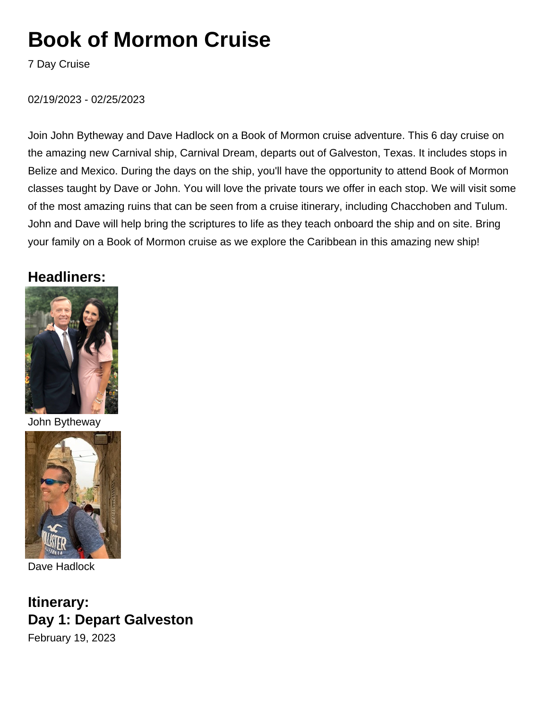# **Book of Mormon Cruise**

7 Day Cruise

#### 02/19/2023 - 02/25/2023

Join John Bytheway and Dave Hadlock on a Book of Mormon cruise adventure. This 6 day cruise on the amazing new Carnival ship, Carnival Dream, departs out of Galveston, Texas. It includes stops in Belize and Mexico. During the days on the ship, you'll have the opportunity to attend Book of Mormon classes taught by Dave or John. You will love the private tours we offer in each stop. We will visit some of the most amazing ruins that can be seen from a cruise itinerary, including Chacchoben and Tulum. John and Dave will help bring the scriptures to life as they teach onboard the ship and on site. Bring your family on a Book of Mormon cruise as we explore the Caribbean in this amazing new ship!

### **Headliners:**



John Bytheway



Dave Hadlock

**Itinerary: Day 1: Depart Galveston** February 19, 2023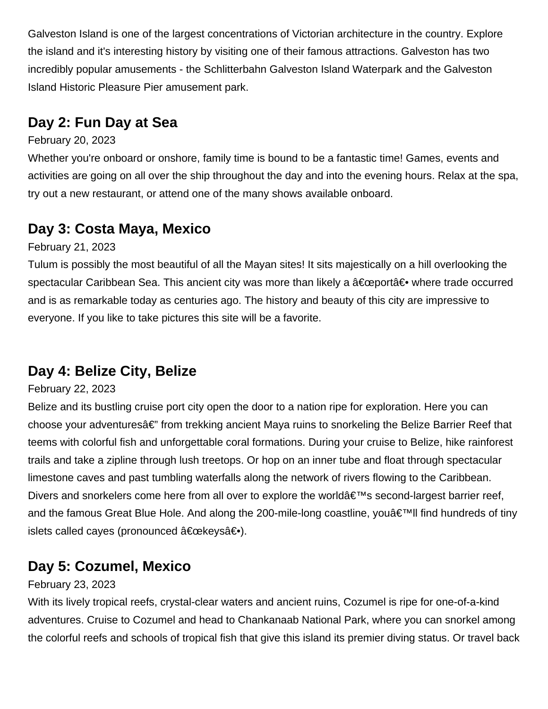Galveston Island is one of the largest concentrations of Victorian architecture in the country. Explore the island and it's interesting history by visiting one of their famous attractions. Galveston has two incredibly popular amusements - the Schlitterbahn Galveston Island Waterpark and the Galveston Island Historic Pleasure Pier amusement park.

### **Day 2: Fun Day at Sea**

#### February 20, 2023

Whether you're onboard or onshore, family time is bound to be a fantastic time! Games, events and activities are going on all over the ship throughout the day and into the evening hours. Relax at the spa, try out a new restaurant, or attend one of the many shows available onboard.

### **Day 3: Costa Maya, Mexico**

February 21, 2023

Tulum is possibly the most beautiful of all the Mayan sites! It sits majestically on a hill overlooking the spectacular Caribbean Sea. This ancient city was more than likely a  $â€$ ceport― where trade occurred and is as remarkable today as centuries ago. The history and beauty of this city are impressive to everyone. If you like to take pictures this site will be a favorite.

### **Day 4: Belize City, Belize**

#### February 22, 2023

Belize and its bustling cruise port city open the door to a nation ripe for exploration. Here you can choose your adventuresâ€" from trekking ancient Maya ruins to snorkeling the Belize Barrier Reef that teems with colorful fish and unforgettable coral formations. During your cruise to Belize, hike rainforest trails and take a zipline through lush treetops. Or hop on an inner tube and float through spectacular limestone caves and past tumbling waterfalls along the network of rivers flowing to the Caribbean. Divers and snorkelers come here from all over to explore the world $\hat{a} \in \mathbb{N}$ s second-largest barrier reef, and the famous Great Blue Hole. And along the 200-mile-long coastline, you  $\hat{\epsilon}$ <sup>TM</sup>II find hundreds of tiny islets called cayes (pronounced "keys―).

### **Day 5: Cozumel, Mexico**

#### February 23, 2023

With its lively tropical reefs, crystal-clear waters and ancient ruins, Cozumel is ripe for one-of-a-kind adventures. Cruise to Cozumel and head to Chankanaab National Park, where you can snorkel among the colorful reefs and schools of tropical fish that give this island its premier diving status. Or travel back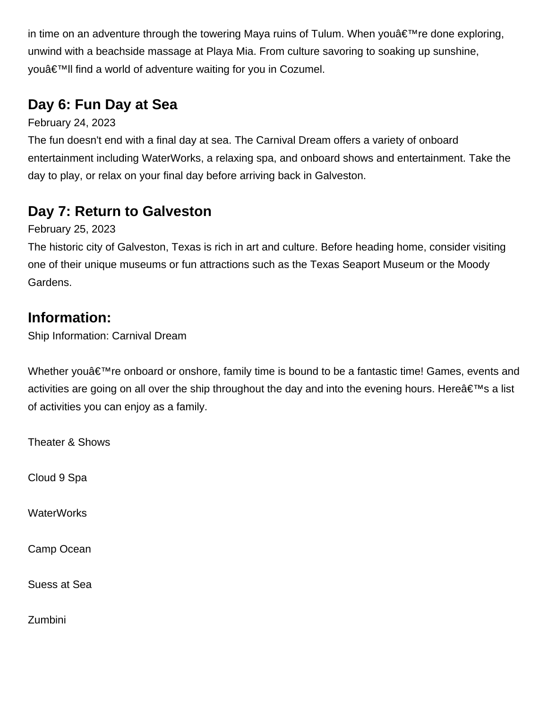in time on an adventure through the towering Maya ruins of Tulum. When you  $\hat{\mathbf{z}} \in \mathbb{R}^{m}$  re done exploring, unwind with a beachside massage at Playa Mia. From culture savoring to soaking up sunshine, youâ€<sup>™</sup>ll find a world of adventure waiting for you in Cozumel.

## **Day 6: Fun Day at Sea**

February 24, 2023

The fun doesn't end with a final day at sea. The Carnival Dream offers a variety of onboard entertainment including WaterWorks, a relaxing spa, and onboard shows and entertainment. Take the day to play, or relax on your final day before arriving back in Galveston.

## **Day 7: Return to Galveston**

February 25, 2023

The historic city of Galveston, Texas is rich in art and culture. Before heading home, consider visiting one of their unique museums or fun attractions such as the Texas Seaport Museum or the Moody Gardens.

### **Information:**

Ship Information: Carnival Dream

Whether you $\hat{a} \in \mathbb{R}^N$  re onboard or onshore, family time is bound to be a fantastic time! Games, events and activities are going on all over the ship throughout the day and into the evening hours. Here  $\hat{\mathbf{a}} \in \mathbb{N}$  a list of activities you can enjoy as a family.

Theater & Shows

Cloud 9 Spa

**WaterWorks** 

Camp Ocean

Suess at Sea

Zumbini